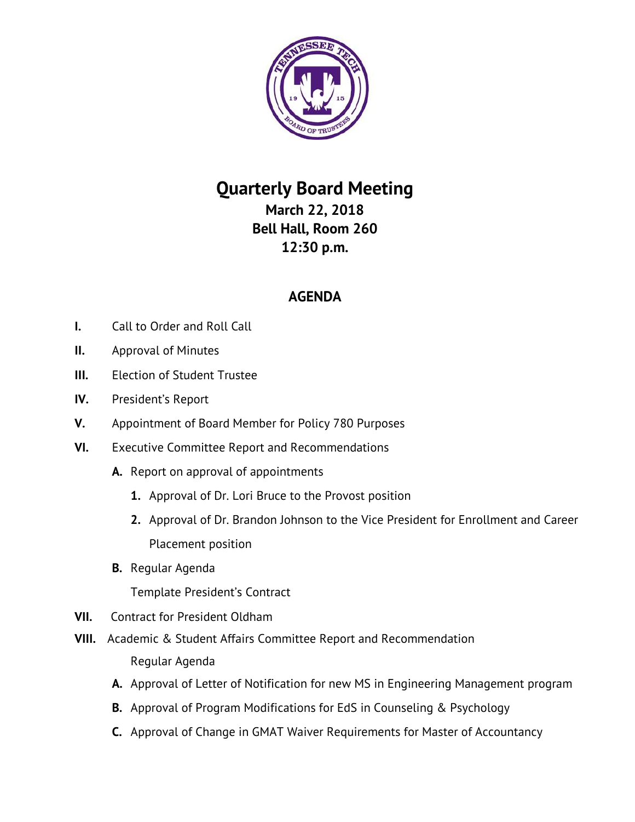

## **Quarterly Board Meeting March 22, 2018**

**Bell Hall, Room 260 12:30 p.m.**

## **AGENDA**

- **I.** Call to Order and Roll Call
- **II.** Approval of Minutes
- **III.** Election of Student Trustee
- **IV.** President's Report
- **V.** Appointment of Board Member for Policy 780 Purposes
- **VI.** Executive Committee Report and Recommendations
	- **A.** Report on approval of appointments
		- **1.** Approval of Dr. Lori Bruce to the Provost position
		- **2.** Approval of Dr. Brandon Johnson to the Vice President for Enrollment and Career Placement position
	- **B.** Regular Agenda

Template President's Contract

- **VII.** Contract for President Oldham
- **VIII.** Academic & Student Affairs Committee Report and Recommendation Regular Agenda
	- **A.** Approval of Letter of Notification for new MS in Engineering Management program
	- **B.** Approval of Program Modifications for EdS in Counseling & Psychology
	- **C.** Approval of Change in GMAT Waiver Requirements for Master of Accountancy